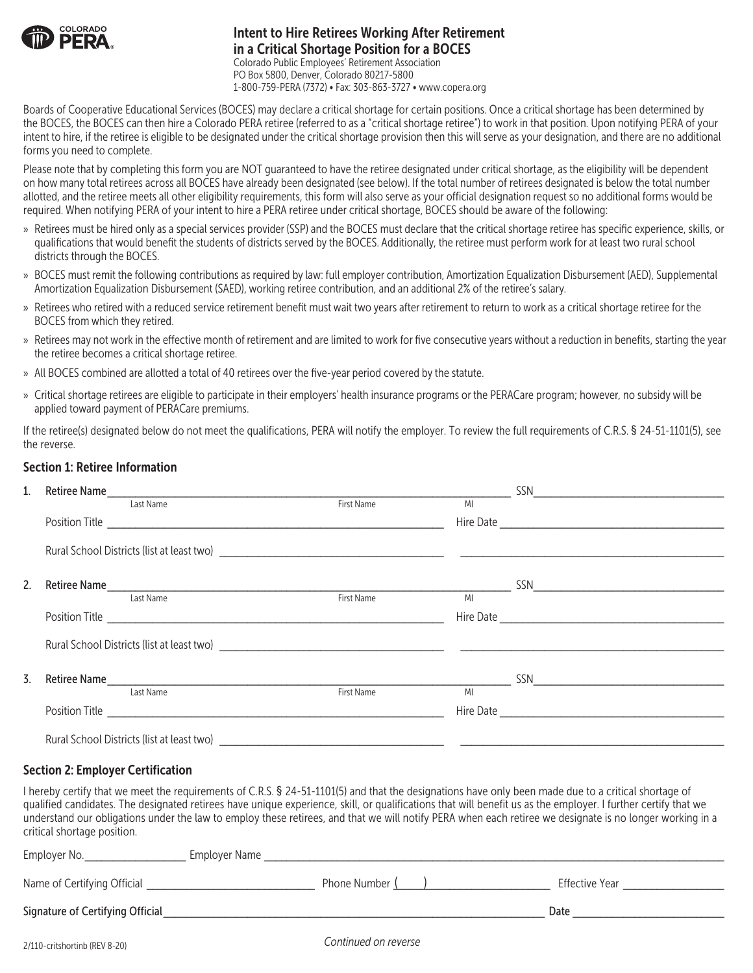

## Intent to Hire Retirees Working After Retirement in a Critical Shortage Position for a BOCES

Colorado Public Employees' Retirement Association PO Box 5800, Denver, Colorado 80217-5800 1-800-759-PERA (7372) • Fax: 303-863-3727 • www.copera.org

Boards of Cooperative Educational Services (BOCES) may declare a critical shortage for certain positions. Once a critical shortage has been determined by the BOCES, the BOCES can then hire a Colorado PERA retiree (referred to as a "critical shortage retiree") to work in that position. Upon notifying PERA of your intent to hire, if the retiree is eligible to be designated under the critical shortage provision then this will serve as your designation, and there are no additional forms you need to complete.

Please note that by completing this form you are NOT quaranteed to have the retiree designated under critical shortage, as the eligibility will be dependent on how many total retirees across all BOCES have already been designated (see below). If the total number of retirees designated is below the total number allotted, and the retiree meets all other eligibility requirements, this form will also serve as your official designation request so no additional forms would be required. When notifying PERA of your intent to hire a PERA retiree under critical shortage, BOCES should be aware of the following:

- » Retirees must be hired only as a special services provider (SSP) and the BOCES must declare that the critical shortage retiree has specific experience, skills, or qualifications that would benefit the students of districts served by the BOCES. Additionally, the retiree must perform work for at least two rural school districts through the BOCES.
- » BOCES must remit the following contributions as required by law: full employer contribution, Amortization Equalization Disbursement (AED), Supplemental Amortization Equalization Disbursement (SAED), working retiree contribution, and an additional 2% of the retiree's salary.
- » Retirees who retired with a reduced service retirement benefit must wait two years after retirement to return to work as a critical shortage retiree for the BOCES from which they retired.
- » Retirees may not work in the effective month of retirement and are limited to work for five consecutive years without a reduction in benefits, starting the year the retiree becomes a critical shortage retiree.
- » All BOCES combined are allotted a total of 40 retirees over the five-year period covered by the statute.
- » Critical shortage retirees are eligible to participate in their employers' health insurance programs or the PERACare program; however, no subsidy will be applied toward payment of PERACare premiums.

If the retiree(s) designated below do not meet the qualifications, PERA will notify the employer. To review the full requirements of C.R.S. § 24-51-1101(5), see the reverse.

## Section 1: Retiree Information

| $1_{\cdot}$      |           |            |      |  |  |
|------------------|-----------|------------|------|--|--|
|                  | Last Name | First Name | MI   |  |  |
|                  |           |            |      |  |  |
|                  |           |            |      |  |  |
| 2.               |           |            |      |  |  |
|                  | Last Name | First Name | MI   |  |  |
|                  |           |            |      |  |  |
|                  |           |            |      |  |  |
|                  |           |            |      |  |  |
| $\overline{3}$ . |           |            |      |  |  |
|                  | Last Name | First Name | MI V |  |  |
|                  |           |            |      |  |  |
|                  |           |            |      |  |  |

## Section 2: Employer Certification

I hereby certify that we meet the requirements of C.R.S. § 24-51-1101(5) and that the designations have only been made due to a critical shortage of qualified candidates. The designated retirees have unique experience, skill, or qualifications that will benefit us as the employer. I further certify that we understand our obligations under the law to employ these retirees, and that we will notify PERA when each retiree we designate is no longer working in a critical shortage position.

| Employer No.                     | Employer Name |                |                |
|----------------------------------|---------------|----------------|----------------|
| Name of Certifying Official      |               | Phone Number ( | Effective Year |
| Signature of Certifying Official |               |                | Date           |